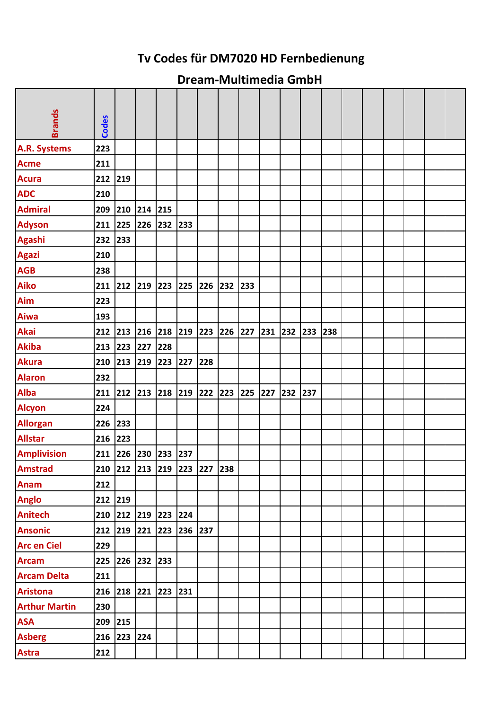## **Tv Codes für DM7020 HD Fernbedienung**

## **Dream‐Multimedia GmbH**

| <b>Brands</b>        | <b>Codes</b> |                 |         |                         |         |                             |         |     |     |     |     |     |  |  |  |
|----------------------|--------------|-----------------|---------|-------------------------|---------|-----------------------------|---------|-----|-----|-----|-----|-----|--|--|--|
| A.R. Systems         | 223          |                 |         |                         |         |                             |         |     |     |     |     |     |  |  |  |
| <b>Acme</b>          | 211          |                 |         |                         |         |                             |         |     |     |     |     |     |  |  |  |
| <b>Acura</b>         | 212          | 219             |         |                         |         |                             |         |     |     |     |     |     |  |  |  |
| <b>ADC</b>           | 210          |                 |         |                         |         |                             |         |     |     |     |     |     |  |  |  |
| <b>Admiral</b>       | 209          | 210             | 214     | 215                     |         |                             |         |     |     |     |     |     |  |  |  |
| <b>Adyson</b>        | 211          | 225             | 226     | 232                     | 233     |                             |         |     |     |     |     |     |  |  |  |
| <b>Agashi</b>        | 232          | 233             |         |                         |         |                             |         |     |     |     |     |     |  |  |  |
| <b>Agazi</b>         | 210          |                 |         |                         |         |                             |         |     |     |     |     |     |  |  |  |
| <b>AGB</b>           | 238          |                 |         |                         |         |                             |         |     |     |     |     |     |  |  |  |
| <b>Aiko</b>          | 211          |                 | 212 219 | 223                     | 225     | 226                         | 232 233 |     |     |     |     |     |  |  |  |
| Aim                  | 223          |                 |         |                         |         |                             |         |     |     |     |     |     |  |  |  |
| <b>Aiwa</b>          | 193          |                 |         |                         |         |                             |         |     |     |     |     |     |  |  |  |
| <b>Akai</b>          | 212          | 213             | 216     | 218 219 223             |         |                             | 226 227 |     | 231 | 232 | 233 | 238 |  |  |  |
| <b>Akiba</b>         | 213          | 223             | 227     | 228                     |         |                             |         |     |     |     |     |     |  |  |  |
| <b>Akura</b>         | 210          | 213             | 219     | 223                     | 227     | 228                         |         |     |     |     |     |     |  |  |  |
| <b>Alaron</b>        | 232          |                 |         |                         |         |                             |         |     |     |     |     |     |  |  |  |
| <b>Alba</b>          | 211          | 212             | 213     | 218                     | 219 222 |                             | 223     | 225 | 227 | 232 | 237 |     |  |  |  |
| <b>Alcyon</b>        | 224          |                 |         |                         |         |                             |         |     |     |     |     |     |  |  |  |
| <b>Allorgan</b>      | 226          | 233             |         |                         |         |                             |         |     |     |     |     |     |  |  |  |
| <b>Allstar</b>       | 216          | 223             |         |                         |         |                             |         |     |     |     |     |     |  |  |  |
| <b>Amplivision</b>   | 211          | 226             | 230     | 233                     | 237     |                             |         |     |     |     |     |     |  |  |  |
| <b>Amstrad</b>       |              |                 |         |                         |         | 210 212 213 219 223 227 238 |         |     |     |     |     |     |  |  |  |
| <b>Anam</b>          | 212          |                 |         |                         |         |                             |         |     |     |     |     |     |  |  |  |
| <b>Anglo</b>         | 212 219      |                 |         |                         |         |                             |         |     |     |     |     |     |  |  |  |
| <b>Anitech</b>       |              |                 |         | 210 212 219 223 224     |         |                             |         |     |     |     |     |     |  |  |  |
| <b>Ansonic</b>       |              |                 |         | 212 219 221 223 236 237 |         |                             |         |     |     |     |     |     |  |  |  |
| <b>Arc en Ciel</b>   | 229          |                 |         |                         |         |                             |         |     |     |     |     |     |  |  |  |
| <b>Arcam</b>         |              | 225 226 232 233 |         |                         |         |                             |         |     |     |     |     |     |  |  |  |
| <b>Arcam Delta</b>   | 211          |                 |         |                         |         |                             |         |     |     |     |     |     |  |  |  |
| <b>Aristona</b>      |              |                 |         | 216 218 221 223 231     |         |                             |         |     |     |     |     |     |  |  |  |
| <b>Arthur Martin</b> | 230          |                 |         |                         |         |                             |         |     |     |     |     |     |  |  |  |
| <b>ASA</b>           | 209 215      |                 |         |                         |         |                             |         |     |     |     |     |     |  |  |  |
| <b>Asberg</b>        |              | 216 223 224     |         |                         |         |                             |         |     |     |     |     |     |  |  |  |
| <b>Astra</b>         | 212          |                 |         |                         |         |                             |         |     |     |     |     |     |  |  |  |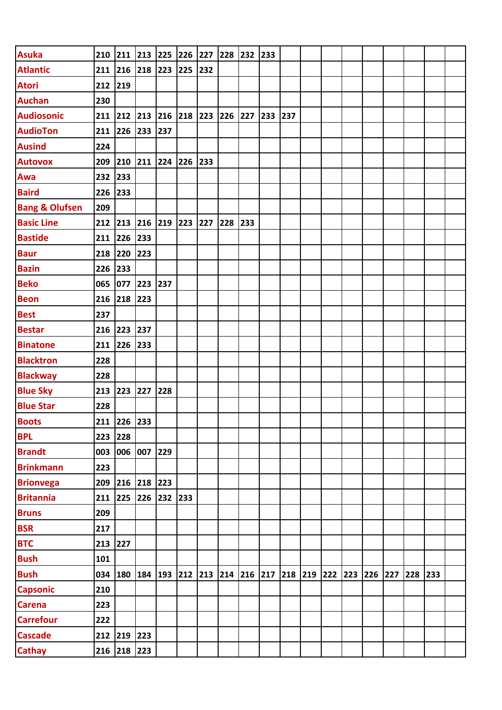| <b>Asuka</b>              |         |                 |     | 210 211 213 225 226 227                                         |     | 228 232 233 |     |     |  |         |     |     |  |
|---------------------------|---------|-----------------|-----|-----------------------------------------------------------------|-----|-------------|-----|-----|--|---------|-----|-----|--|
| <b>Atlantic</b>           |         |                 |     | 211 216 218 223 225                                             | 232 |             |     |     |  |         |     |     |  |
| <b>Atori</b>              | 212 219 |                 |     |                                                                 |     |             |     |     |  |         |     |     |  |
| <b>Auchan</b>             | 230     |                 |     |                                                                 |     |             |     |     |  |         |     |     |  |
| <b>Audiosonic</b>         |         |                 |     | 211 212 213 216 218 223                                         |     | 226 227     | 233 | 237 |  |         |     |     |  |
| <b>AudioTon</b>           |         | 211 226 233 237 |     |                                                                 |     |             |     |     |  |         |     |     |  |
| <b>Ausind</b>             | 224     |                 |     |                                                                 |     |             |     |     |  |         |     |     |  |
| <b>Autovox</b>            |         |                 |     | 209 210 211 224 226 233                                         |     |             |     |     |  |         |     |     |  |
| Awa                       | 232 233 |                 |     |                                                                 |     |             |     |     |  |         |     |     |  |
| <b>Baird</b>              | 226 233 |                 |     |                                                                 |     |             |     |     |  |         |     |     |  |
| <b>Bang &amp; Olufsen</b> | 209     |                 |     |                                                                 |     |             |     |     |  |         |     |     |  |
| <b>Basic Line</b>         |         |                 |     | 212 213 216 219 223 227                                         |     | 228 233     |     |     |  |         |     |     |  |
| <b>Bastide</b>            |         | 211 226 233     |     |                                                                 |     |             |     |     |  |         |     |     |  |
| <b>Baur</b>               | 218 220 |                 | 223 |                                                                 |     |             |     |     |  |         |     |     |  |
| <b>Bazin</b>              | 226 233 |                 |     |                                                                 |     |             |     |     |  |         |     |     |  |
| <b>Beko</b>               |         | 065 077 223 237 |     |                                                                 |     |             |     |     |  |         |     |     |  |
| <b>Beon</b>               |         | 216 218 223     |     |                                                                 |     |             |     |     |  |         |     |     |  |
| <b>Best</b>               | 237     |                 |     |                                                                 |     |             |     |     |  |         |     |     |  |
| <b>Bestar</b>             |         | 216 223 237     |     |                                                                 |     |             |     |     |  |         |     |     |  |
| <b>Binatone</b>           |         | 211 226 233     |     |                                                                 |     |             |     |     |  |         |     |     |  |
| <b>Blacktron</b>          | 228     |                 |     |                                                                 |     |             |     |     |  |         |     |     |  |
| <b>Blackway</b>           | 228     |                 |     |                                                                 |     |             |     |     |  |         |     |     |  |
| <b>Blue Sky</b>           |         | 213 223 227     |     | 228                                                             |     |             |     |     |  |         |     |     |  |
| <b>Blue Star</b>          | 228     |                 |     |                                                                 |     |             |     |     |  |         |     |     |  |
| <b>Boots</b>              |         | 211 226 233     |     |                                                                 |     |             |     |     |  |         |     |     |  |
| <b>BPL</b>                | 223     | 228             |     |                                                                 |     |             |     |     |  |         |     |     |  |
| <b>Brandt</b>             | 003     | 006 007         |     | 229                                                             |     |             |     |     |  |         |     |     |  |
| <b>Brinkmann</b>          | 223     |                 |     |                                                                 |     |             |     |     |  |         |     |     |  |
| <b>Brionvega</b>          |         | 209 216 218     |     | 223                                                             |     |             |     |     |  |         |     |     |  |
| <b>Britannia</b>          | 211     | 225 226         |     | 232 233                                                         |     |             |     |     |  |         |     |     |  |
| <b>Bruns</b>              | 209     |                 |     |                                                                 |     |             |     |     |  |         |     |     |  |
| <b>BSR</b>                | 217     |                 |     |                                                                 |     |             |     |     |  |         |     |     |  |
| <b>BTC</b>                | 213 227 |                 |     |                                                                 |     |             |     |     |  |         |     |     |  |
| <b>Bush</b>               | 101     |                 |     |                                                                 |     |             |     |     |  |         |     |     |  |
| <b>Bush</b>               |         |                 |     | 034  180  184  193  212  213  214  216  217  218  219  222  223 |     |             |     |     |  | 226 227 | 228 | 233 |  |
| <b>Capsonic</b>           | 210     |                 |     |                                                                 |     |             |     |     |  |         |     |     |  |
| <b>Carena</b>             | 223     |                 |     |                                                                 |     |             |     |     |  |         |     |     |  |
| <b>Carrefour</b>          | 222     |                 |     |                                                                 |     |             |     |     |  |         |     |     |  |
| <b>Cascade</b>            |         | 212 219 223     |     |                                                                 |     |             |     |     |  |         |     |     |  |
| <b>Cathay</b>             |         | 216 218 223     |     |                                                                 |     |             |     |     |  |         |     |     |  |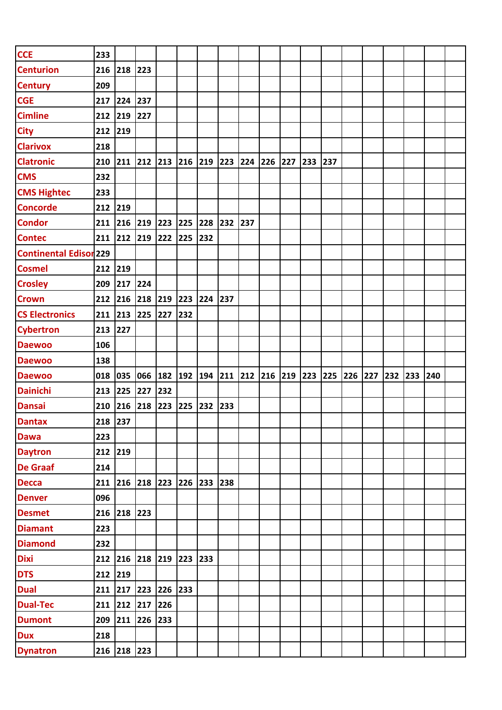| <b>CCE</b>             | 233     |                                     |             |     |     |     |     |     |                                   |     |                 |     |  |     |     |     |  |
|------------------------|---------|-------------------------------------|-------------|-----|-----|-----|-----|-----|-----------------------------------|-----|-----------------|-----|--|-----|-----|-----|--|
| Centurion              |         | 216 218                             | 223         |     |     |     |     |     |                                   |     |                 |     |  |     |     |     |  |
| <b>Century</b>         | 209     |                                     |             |     |     |     |     |     |                                   |     |                 |     |  |     |     |     |  |
| <b>CGE</b>             | 217     | 224                                 | 237         |     |     |     |     |     |                                   |     |                 |     |  |     |     |     |  |
| <b>Cimline</b>         | 212 219 |                                     | 227         |     |     |     |     |     |                                   |     |                 |     |  |     |     |     |  |
| <b>City</b>            | 212 219 |                                     |             |     |     |     |     |     |                                   |     |                 |     |  |     |     |     |  |
| <b>Clarivox</b>        | 218     |                                     |             |     |     |     |     |     |                                   |     |                 |     |  |     |     |     |  |
| <b>Clatronic</b>       |         | 210 211 212 213 216 219 223 224 226 |             |     |     |     |     |     |                                   | 227 | 233             | 237 |  |     |     |     |  |
| <b>CMS</b>             | 232     |                                     |             |     |     |     |     |     |                                   |     |                 |     |  |     |     |     |  |
| <b>CMS Hightec</b>     | 233     |                                     |             |     |     |     |     |     |                                   |     |                 |     |  |     |     |     |  |
| <b>Concorde</b>        | 212     | 219                                 |             |     |     |     |     |     |                                   |     |                 |     |  |     |     |     |  |
| <b>Condor</b>          |         | 211 216 219                         |             | 223 | 225 | 228 | 232 | 237 |                                   |     |                 |     |  |     |     |     |  |
| <b>Contec</b>          | 211 212 |                                     | 219         | 222 | 225 | 232 |     |     |                                   |     |                 |     |  |     |     |     |  |
| Continental Edisor 229 |         |                                     |             |     |     |     |     |     |                                   |     |                 |     |  |     |     |     |  |
| <b>Cosmel</b>          | 212 219 |                                     |             |     |     |     |     |     |                                   |     |                 |     |  |     |     |     |  |
| <b>Crosley</b>         | 209 217 |                                     | 224         |     |     |     |     |     |                                   |     |                 |     |  |     |     |     |  |
| <b>Crown</b>           | 212 216 |                                     | 218         | 219 | 223 | 224 | 237 |     |                                   |     |                 |     |  |     |     |     |  |
| <b>CS Electronics</b>  |         | 211 213                             | 225 227     |     | 232 |     |     |     |                                   |     |                 |     |  |     |     |     |  |
| <b>Cybertron</b>       | 213 227 |                                     |             |     |     |     |     |     |                                   |     |                 |     |  |     |     |     |  |
| <b>Daewoo</b>          | 106     |                                     |             |     |     |     |     |     |                                   |     |                 |     |  |     |     |     |  |
|                        |         |                                     |             |     |     |     |     |     |                                   |     |                 |     |  |     |     |     |  |
| <b>Daewoo</b>          | 138     |                                     |             |     |     |     |     |     |                                   |     |                 |     |  |     |     |     |  |
| <b>Daewoo</b>          | 018     | 035                                 | 066         |     |     |     |     |     | 182  192  194  211  212  216  219 |     | 223 225 226 227 |     |  | 232 | 233 | 240 |  |
| <b>Dainichi</b>        | 213 225 |                                     | 227         | 232 |     |     |     |     |                                   |     |                 |     |  |     |     |     |  |
| <b>Dansai</b>          | 210     | 216                                 | 218         | 223 | 225 | 232 | 233 |     |                                   |     |                 |     |  |     |     |     |  |
| <b>Dantax</b>          | 218 237 |                                     |             |     |     |     |     |     |                                   |     |                 |     |  |     |     |     |  |
| <b>Dawa</b>            | 223     |                                     |             |     |     |     |     |     |                                   |     |                 |     |  |     |     |     |  |
| <b>Daytron</b>         | 212 219 |                                     |             |     |     |     |     |     |                                   |     |                 |     |  |     |     |     |  |
| <b>De Graaf</b>        | 214     |                                     |             |     |     |     |     |     |                                   |     |                 |     |  |     |     |     |  |
| <b>Decca</b>           |         | 211 216 218 223 226                 |             |     |     | 233 | 238 |     |                                   |     |                 |     |  |     |     |     |  |
| <b>Denver</b>          | 096     |                                     |             |     |     |     |     |     |                                   |     |                 |     |  |     |     |     |  |
| <b>Desmet</b>          |         | 216 218 223                         |             |     |     |     |     |     |                                   |     |                 |     |  |     |     |     |  |
| <b>Diamant</b>         | 223     |                                     |             |     |     |     |     |     |                                   |     |                 |     |  |     |     |     |  |
| <b>Diamond</b>         | 232     |                                     |             |     |     |     |     |     |                                   |     |                 |     |  |     |     |     |  |
| <b>Dixi</b>            |         | 212 216 218 219 223                 |             |     |     | 233 |     |     |                                   |     |                 |     |  |     |     |     |  |
| <b>DTS</b>             | 212 219 |                                     |             |     |     |     |     |     |                                   |     |                 |     |  |     |     |     |  |
| <b>Dual</b>            |         | 211 217                             | 223 226 233 |     |     |     |     |     |                                   |     |                 |     |  |     |     |     |  |
| <b>Dual-Tec</b>        |         | 211 212 217 226                     |             |     |     |     |     |     |                                   |     |                 |     |  |     |     |     |  |
| <b>Dumont</b>          |         | 209 211 226                         |             | 233 |     |     |     |     |                                   |     |                 |     |  |     |     |     |  |
| <b>Dux</b>             | 218     |                                     |             |     |     |     |     |     |                                   |     |                 |     |  |     |     |     |  |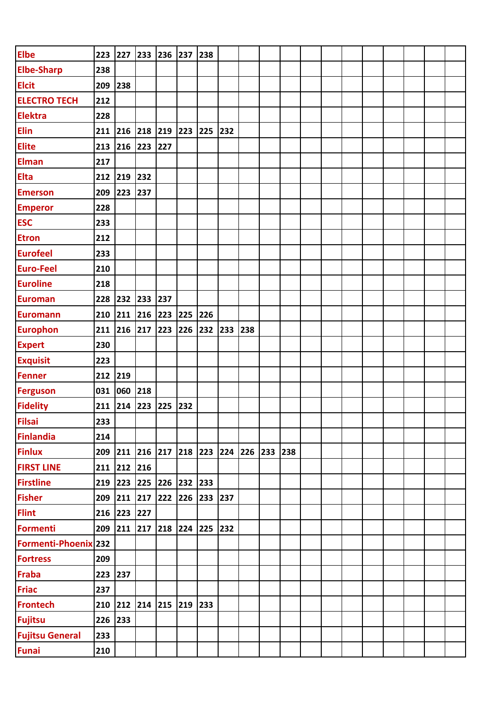| <b>Elbe</b>            | 223     | 227         | 233 | 236                     | 237 | 238 |     |             |     |  |  |  |  |
|------------------------|---------|-------------|-----|-------------------------|-----|-----|-----|-------------|-----|--|--|--|--|
| <b>Elbe-Sharp</b>      | 238     |             |     |                         |     |     |     |             |     |  |  |  |  |
| <b>Elcit</b>           | 209     | 238         |     |                         |     |     |     |             |     |  |  |  |  |
| <b>ELECTRO TECH</b>    | 212     |             |     |                         |     |     |     |             |     |  |  |  |  |
| <b>Elektra</b>         | 228     |             |     |                         |     |     |     |             |     |  |  |  |  |
| <b>Elin</b>            | 211     | 216         | 218 | 219                     | 223 | 225 | 232 |             |     |  |  |  |  |
| <b>Elite</b>           | 213     | 216         | 223 | 227                     |     |     |     |             |     |  |  |  |  |
| <b>Elman</b>           | 217     |             |     |                         |     |     |     |             |     |  |  |  |  |
| <b>Elta</b>            | 212     | 219         | 232 |                         |     |     |     |             |     |  |  |  |  |
| <b>Emerson</b>         | 209     | 223         | 237 |                         |     |     |     |             |     |  |  |  |  |
| <b>Emperor</b>         | 228     |             |     |                         |     |     |     |             |     |  |  |  |  |
| <b>ESC</b>             | 233     |             |     |                         |     |     |     |             |     |  |  |  |  |
| <b>Etron</b>           | 212     |             |     |                         |     |     |     |             |     |  |  |  |  |
| <b>Eurofeel</b>        | 233     |             |     |                         |     |     |     |             |     |  |  |  |  |
| <b>Euro-Feel</b>       | 210     |             |     |                         |     |     |     |             |     |  |  |  |  |
| <b>Euroline</b>        | 218     |             |     |                         |     |     |     |             |     |  |  |  |  |
| <b>Euroman</b>         | 228     | 232         | 233 | 237                     |     |     |     |             |     |  |  |  |  |
| <b>Euromann</b>        | 210     | 211         | 216 | 223                     | 225 | 226 |     |             |     |  |  |  |  |
| <b>Europhon</b>        | 211     | 216         | 217 | 223                     | 226 | 232 | 233 | 238         |     |  |  |  |  |
| <b>Expert</b>          | 230     |             |     |                         |     |     |     |             |     |  |  |  |  |
| <b>Exquisit</b>        | 223     |             |     |                         |     |     |     |             |     |  |  |  |  |
| <b>Fenner</b>          | 212     | 219         |     |                         |     |     |     |             |     |  |  |  |  |
| <b>Ferguson</b>        | 031     | 060         | 218 |                         |     |     |     |             |     |  |  |  |  |
| <b>Fidelity</b>        | 211     | 214         | 223 | 225                     | 232 |     |     |             |     |  |  |  |  |
| <b>Filsai</b>          | 233     |             |     |                         |     |     |     |             |     |  |  |  |  |
| <b>Finlandia</b>       | 214     |             |     |                         |     |     |     |             |     |  |  |  |  |
| <b>Finlux</b>          |         |             |     | 209 211 216 217 218 223 |     |     |     | 224 226 233 | 238 |  |  |  |  |
| <b>FIRST LINE</b>      |         | 211 212 216 |     |                         |     |     |     |             |     |  |  |  |  |
| <b>Firstline</b>       |         |             |     | 219 223 225 226 232     |     | 233 |     |             |     |  |  |  |  |
| <b>Fisher</b>          | 209     | 211 217     |     | 222 226 233             |     |     | 237 |             |     |  |  |  |  |
| <b>Flint</b>           | 216     | 223 227     |     |                         |     |     |     |             |     |  |  |  |  |
| <b>Formenti</b>        |         |             |     | 209 211 217 218 224 225 |     |     | 232 |             |     |  |  |  |  |
| Formenti-Phoenix 232   |         |             |     |                         |     |     |     |             |     |  |  |  |  |
| <b>Fortress</b>        | 209     |             |     |                         |     |     |     |             |     |  |  |  |  |
| <b>Fraba</b>           | 223 237 |             |     |                         |     |     |     |             |     |  |  |  |  |
| <b>Friac</b>           | 237     |             |     |                         |     |     |     |             |     |  |  |  |  |
| <b>Frontech</b>        |         |             |     | 210 212 214 215 219     |     | 233 |     |             |     |  |  |  |  |
| <b>Fujitsu</b>         | 226     | 233         |     |                         |     |     |     |             |     |  |  |  |  |
| <b>Fujitsu General</b> | 233     |             |     |                         |     |     |     |             |     |  |  |  |  |
| <b>Funai</b>           | 210     |             |     |                         |     |     |     |             |     |  |  |  |  |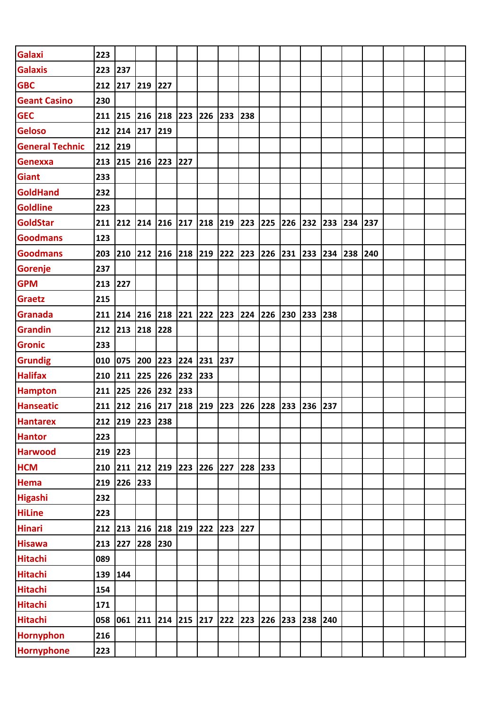| Galaxi                 | 223       |                         |         |                               |         |     |             |     |     |     |     |     |     |     |  |  |
|------------------------|-----------|-------------------------|---------|-------------------------------|---------|-----|-------------|-----|-----|-----|-----|-----|-----|-----|--|--|
| <b>Galaxis</b>         | 223       | 237                     |         |                               |         |     |             |     |     |     |     |     |     |     |  |  |
| <b>GBC</b>             | 212       | 217                     | 219     | 227                           |         |     |             |     |     |     |     |     |     |     |  |  |
| <b>Geant Casino</b>    | 230       |                         |         |                               |         |     |             |     |     |     |     |     |     |     |  |  |
| <b>GEC</b>             | 211 215   |                         | 216     | 218                           | 223 226 |     | 233 238     |     |     |     |     |     |     |     |  |  |
| <b>Geloso</b>          | 212       | 214                     | 217     | $ 219$                        |         |     |             |     |     |     |     |     |     |     |  |  |
| <b>General Technic</b> | 212       | 219                     |         |                               |         |     |             |     |     |     |     |     |     |     |  |  |
| Genexxa                | 213 215   |                         | 216     | 223                           | 227     |     |             |     |     |     |     |     |     |     |  |  |
| <b>Giant</b>           | 233       |                         |         |                               |         |     |             |     |     |     |     |     |     |     |  |  |
| <b>GoldHand</b>        | 232       |                         |         |                               |         |     |             |     |     |     |     |     |     |     |  |  |
| <b>Goldline</b>        | 223       |                         |         |                               |         |     |             |     |     |     |     |     |     |     |  |  |
| <b>GoldStar</b>        | 211 212   |                         | 214     | 216                           | 217 218 |     | 219 223     |     | 225 | 226 | 232 | 233 | 234 | 237 |  |  |
| <b>Goodmans</b>        | 123       |                         |         |                               |         |     |             |     |     |     |     |     |     |     |  |  |
| <b>Goodmans</b>        | 203 210   |                         | 212 216 |                               | 218 219 |     | 222         | 223 | 226 | 231 | 233 | 234 | 238 | 240 |  |  |
| Gorenje                | 237       |                         |         |                               |         |     |             |     |     |     |     |     |     |     |  |  |
| <b>GPM</b>             | 213 227   |                         |         |                               |         |     |             |     |     |     |     |     |     |     |  |  |
| <b>Graetz</b>          | 215       |                         |         |                               |         |     |             |     |     |     |     |     |     |     |  |  |
| Granada                | $211$ 214 |                         | 216     | 218                           | 221     | 222 | 223 224 226 |     |     | 230 | 233 | 238 |     |     |  |  |
| <b>Grandin</b>         | 212 213   |                         | 218     | 228                           |         |     |             |     |     |     |     |     |     |     |  |  |
| <b>Gronic</b>          | 233       |                         |         |                               |         |     |             |     |     |     |     |     |     |     |  |  |
| <b>Grundig</b>         | 010       | 075                     | 200     | 223                           | 224     | 231 | 237         |     |     |     |     |     |     |     |  |  |
| <b>Halifax</b>         | 210       | 211                     | 225     | 226                           | 232     | 233 |             |     |     |     |     |     |     |     |  |  |
| <b>Hampton</b>         | 211 225   |                         | 226     | 232                           | 233     |     |             |     |     |     |     |     |     |     |  |  |
| <b>Hanseatic</b>       | 211 212   |                         | 216     | 217                           | 218     | 219 | 223         | 226 | 228 | 233 | 236 | 237 |     |     |  |  |
| <b>Hantarex</b>        |           | 212 219 223 238         |         |                               |         |     |             |     |     |     |     |     |     |     |  |  |
| <b>Hantor</b>          | 223       |                         |         |                               |         |     |             |     |     |     |     |     |     |     |  |  |
| <b>Harwood</b>         | 219 223   |                         |         |                               |         |     |             |     |     |     |     |     |     |     |  |  |
| <b>HCM</b>             | 210       | 211 212 219 223         |         |                               |         | 226 | 227         | 228 | 233 |     |     |     |     |     |  |  |
| Hema                   | 219       | 226 233                 |         |                               |         |     |             |     |     |     |     |     |     |     |  |  |
| <b>Higashi</b>         | 232       |                         |         |                               |         |     |             |     |     |     |     |     |     |     |  |  |
| <b>HiLine</b>          | 223       |                         |         |                               |         |     |             |     |     |     |     |     |     |     |  |  |
| <b>Hinari</b>          |           | 212 213 216 218 219 222 |         |                               |         |     | 223 227     |     |     |     |     |     |     |     |  |  |
| <b>Hisawa</b>          | 213 227   |                         | 228     | 230                           |         |     |             |     |     |     |     |     |     |     |  |  |
| <b>Hitachi</b>         | 089       |                         |         |                               |         |     |             |     |     |     |     |     |     |     |  |  |
| <b>Hitachi</b>         | 139       | 144                     |         |                               |         |     |             |     |     |     |     |     |     |     |  |  |
| <b>Hitachi</b>         | 154       |                         |         |                               |         |     |             |     |     |     |     |     |     |     |  |  |
| <b>Hitachi</b>         | 171       |                         |         |                               |         |     |             |     |     |     |     |     |     |     |  |  |
| <b>Hitachi</b>         | 058       | 061                     |         | $\vert$ 211   214   215   217 |         |     | 222 223     |     | 226 | 233 | 238 | 240 |     |     |  |  |
| <b>Hornyphon</b>       | 216       |                         |         |                               |         |     |             |     |     |     |     |     |     |     |  |  |
| Hornyphone             | 223       |                         |         |                               |         |     |             |     |     |     |     |     |     |     |  |  |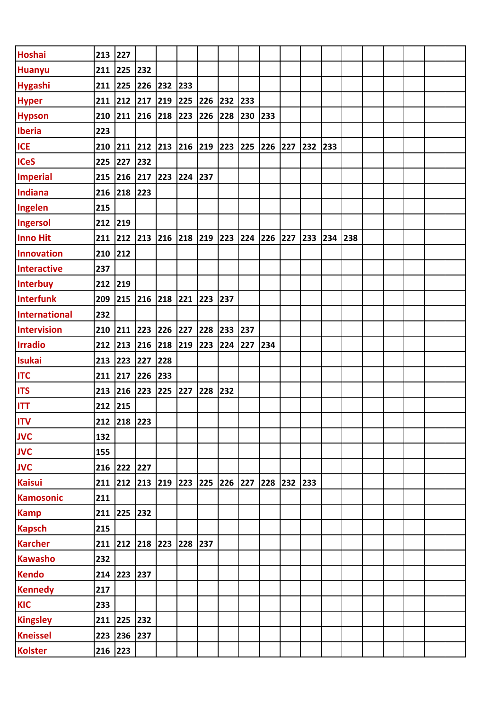| <b>Hoshai</b>        | 213 227 |                 |               |                                                 |           |     |             |     |                                            |     |     |     |     |  |  |  |
|----------------------|---------|-----------------|---------------|-------------------------------------------------|-----------|-----|-------------|-----|--------------------------------------------|-----|-----|-----|-----|--|--|--|
| <b>Huanyu</b>        | 211     | 225             | 232           |                                                 |           |     |             |     |                                            |     |     |     |     |  |  |  |
| <b>Hygashi</b>       | 211 225 |                 | 226           | 232                                             | 233       |     |             |     |                                            |     |     |     |     |  |  |  |
| <b>Hyper</b>         |         | 211 212 217     |               | 219                                             | 225 226   |     | 232 233     |     |                                            |     |     |     |     |  |  |  |
| <b>Hypson</b>        |         | 210 211 216 218 |               |                                                 | 223 226   |     | 228 230     |     | $\begin{array}{c} \boxed{233} \end{array}$ |     |     |     |     |  |  |  |
| <b>Iberia</b>        | 223     |                 |               |                                                 |           |     |             |     |                                            |     |     |     |     |  |  |  |
| <b>ICE</b>           | 210 211 |                 | 212           | 213                                             | $216$ 219 |     | 223         | 225 | 226                                        | 227 | 232 | 233 |     |  |  |  |
| <b>ICeS</b>          | 225     | 227             | 232           |                                                 |           |     |             |     |                                            |     |     |     |     |  |  |  |
| <b>Imperial</b>      | 215 216 |                 | 217           | 223                                             | 224 237   |     |             |     |                                            |     |     |     |     |  |  |  |
| <b>Indiana</b>       | 216 218 |                 | $ 223\rangle$ |                                                 |           |     |             |     |                                            |     |     |     |     |  |  |  |
| Ingelen              | 215     |                 |               |                                                 |           |     |             |     |                                            |     |     |     |     |  |  |  |
| Ingersol             | 212 219 |                 |               |                                                 |           |     |             |     |                                            |     |     |     |     |  |  |  |
| <b>Inno Hit</b>      | 211 212 |                 |               | $\vert$ 213 $\vert$ 216 $\vert$ 218 $\vert$ 219 |           |     | 223 224 226 |     |                                            | 227 | 233 | 234 | 238 |  |  |  |
| <b>Innovation</b>    | 210 212 |                 |               |                                                 |           |     |             |     |                                            |     |     |     |     |  |  |  |
| <b>Interactive</b>   | 237     |                 |               |                                                 |           |     |             |     |                                            |     |     |     |     |  |  |  |
| Interbuy             | 212 219 |                 |               |                                                 |           |     |             |     |                                            |     |     |     |     |  |  |  |
| <b>Interfunk</b>     | 209 215 |                 | 216           | 218                                             | 221       | 223 | 237         |     |                                            |     |     |     |     |  |  |  |
| <b>International</b> | 232     |                 |               |                                                 |           |     |             |     |                                            |     |     |     |     |  |  |  |
| <b>Intervision</b>   | 210 211 |                 | 223           | 226                                             | 227       | 228 | 233 237     |     |                                            |     |     |     |     |  |  |  |
| <b>Irradio</b>       |         | 212 213 216     |               | 218                                             | 219 223   |     | 224 227     |     | 234                                        |     |     |     |     |  |  |  |
| <b>Isukai</b>        | 213 223 |                 | 227           | 228                                             |           |     |             |     |                                            |     |     |     |     |  |  |  |
| <b>ITC</b>           | 211 217 |                 | 226           | 233                                             |           |     |             |     |                                            |     |     |     |     |  |  |  |
| <b>ITS</b>           | 213     | 216             | 223           | 225                                             | 227       | 228 | 232         |     |                                            |     |     |     |     |  |  |  |
| <b>ITT</b>           | 212     | $ 215$          |               |                                                 |           |     |             |     |                                            |     |     |     |     |  |  |  |
| <b>ITV</b>           |         | 212 218 223     |               |                                                 |           |     |             |     |                                            |     |     |     |     |  |  |  |
| <b>JVC</b>           | 132     |                 |               |                                                 |           |     |             |     |                                            |     |     |     |     |  |  |  |
| <b>JVC</b>           | 155     |                 |               |                                                 |           |     |             |     |                                            |     |     |     |     |  |  |  |
| <b>JVC</b>           |         | 216 222 227     |               |                                                 |           |     |             |     |                                            |     |     |     |     |  |  |  |
| <b>Kaisui</b>        | 211     |                 | 212 213 219   |                                                 | 223       | 225 | 226         | 227 | 228                                        | 232 | 233 |     |     |  |  |  |
| <b>Kamosonic</b>     | 211     |                 |               |                                                 |           |     |             |     |                                            |     |     |     |     |  |  |  |
| <b>Kamp</b>          |         | 211 225 232     |               |                                                 |           |     |             |     |                                            |     |     |     |     |  |  |  |
| <b>Kapsch</b>        | 215     |                 |               |                                                 |           |     |             |     |                                            |     |     |     |     |  |  |  |
| <b>Karcher</b>       |         | 211 212 218     |               | 223                                             | 228       | 237 |             |     |                                            |     |     |     |     |  |  |  |
| <b>Kawasho</b>       | 232     |                 |               |                                                 |           |     |             |     |                                            |     |     |     |     |  |  |  |
| <b>Kendo</b>         |         | 214 223 237     |               |                                                 |           |     |             |     |                                            |     |     |     |     |  |  |  |
| <b>Kennedy</b>       | 217     |                 |               |                                                 |           |     |             |     |                                            |     |     |     |     |  |  |  |
| <b>KIC</b>           | 233     |                 |               |                                                 |           |     |             |     |                                            |     |     |     |     |  |  |  |
| <b>Kingsley</b>      | 211     | 225 232         |               |                                                 |           |     |             |     |                                            |     |     |     |     |  |  |  |
| <b>Kneissel</b>      | 223 236 |                 | 237           |                                                 |           |     |             |     |                                            |     |     |     |     |  |  |  |
| <b>Kolster</b>       | 216 223 |                 |               |                                                 |           |     |             |     |                                            |     |     |     |     |  |  |  |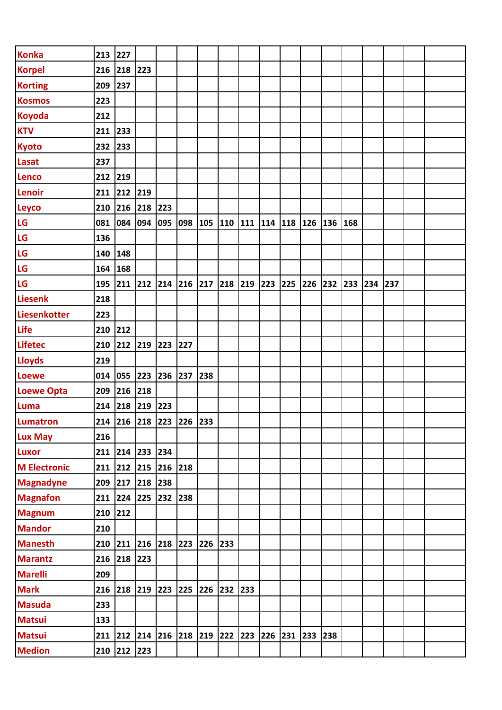| <b>Konka</b>        | 213 227   |                         |     |               |         |     |             |                         |         |         |         |     |     |     |  |  |
|---------------------|-----------|-------------------------|-----|---------------|---------|-----|-------------|-------------------------|---------|---------|---------|-----|-----|-----|--|--|
| <b>Korpel</b>       | 216 218   |                         | 223 |               |         |     |             |                         |         |         |         |     |     |     |  |  |
| <b>Korting</b>      | 209 237   |                         |     |               |         |     |             |                         |         |         |         |     |     |     |  |  |
| <b>Kosmos</b>       | 223       |                         |     |               |         |     |             |                         |         |         |         |     |     |     |  |  |
| <b>Koyoda</b>       | 212       |                         |     |               |         |     |             |                         |         |         |         |     |     |     |  |  |
| <b>KTV</b>          | 211 233   |                         |     |               |         |     |             |                         |         |         |         |     |     |     |  |  |
| <b>Kyoto</b>        | 232 233   |                         |     |               |         |     |             |                         |         |         |         |     |     |     |  |  |
| Lasat               | 237       |                         |     |               |         |     |             |                         |         |         |         |     |     |     |  |  |
| <b>Lenco</b>        | 212 219   |                         |     |               |         |     |             |                         |         |         |         |     |     |     |  |  |
| <b>Lenoir</b>       | 211 212   |                         | 219 |               |         |     |             |                         |         |         |         |     |     |     |  |  |
| <b>Leyco</b>        | 210 216   |                         | 218 | 223           |         |     |             |                         |         |         |         |     |     |     |  |  |
| LG                  | 081       | 084                     | 094 | 095           | 098 105 |     |             | 110  111  114  118  126 |         |         | 136 168 |     |     |     |  |  |
| LG                  | 136       |                         |     |               |         |     |             |                         |         |         |         |     |     |     |  |  |
| LG                  | 140 148   |                         |     |               |         |     |             |                         |         |         |         |     |     |     |  |  |
| LG                  | 164 168   |                         |     |               |         |     |             |                         |         |         |         |     |     |     |  |  |
| LG                  |           | 195 211 212             |     | $214$ 216 217 |         |     | 218 219 223 |                         | 225 226 |         | 232     | 233 | 234 | 237 |  |  |
| <b>Liesenk</b>      | 218       |                         |     |               |         |     |             |                         |         |         |         |     |     |     |  |  |
| Liesenkotter        | 223       |                         |     |               |         |     |             |                         |         |         |         |     |     |     |  |  |
| <b>Life</b>         | 210 212   |                         |     |               |         |     |             |                         |         |         |         |     |     |     |  |  |
| <b>Lifetec</b>      |           | 210 212 219 223 227     |     |               |         |     |             |                         |         |         |         |     |     |     |  |  |
| <b>Lloyds</b>       | 219       |                         |     |               |         |     |             |                         |         |         |         |     |     |     |  |  |
| <b>Loewe</b>        |           | 014 055 223             |     | 236 237       |         | 238 |             |                         |         |         |         |     |     |     |  |  |
| <b>Loewe Opta</b>   | 209       | 216                     | 218 |               |         |     |             |                         |         |         |         |     |     |     |  |  |
| Luma                | $214$ 218 |                         | 219 | 223           |         |     |             |                         |         |         |         |     |     |     |  |  |
| Lumatron            |           | 214 216 218 223 226 233 |     |               |         |     |             |                         |         |         |         |     |     |     |  |  |
| Lux May             | 216       |                         |     |               |         |     |             |                         |         |         |         |     |     |     |  |  |
| <b>Luxor</b>        |           | 211 214 233             |     | 234           |         |     |             |                         |         |         |         |     |     |     |  |  |
| <b>M</b> Electronic |           | 211 212 215             |     | 216           | 218     |     |             |                         |         |         |         |     |     |     |  |  |
| <b>Magnadyne</b>    |           | 209 217 218 238         |     |               |         |     |             |                         |         |         |         |     |     |     |  |  |
| <b>Magnafon</b>     |           | 211 224 225             |     | 232 238       |         |     |             |                         |         |         |         |     |     |     |  |  |
| <b>Magnum</b>       | 210 212   |                         |     |               |         |     |             |                         |         |         |         |     |     |     |  |  |
| <b>Mandor</b>       | 210       |                         |     |               |         |     |             |                         |         |         |         |     |     |     |  |  |
| <b>Manesth</b>      |           | 210 211 216 218 223     |     |               |         | 226 | 233         |                         |         |         |         |     |     |     |  |  |
| <b>Marantz</b>      |           | 216 218 223             |     |               |         |     |             |                         |         |         |         |     |     |     |  |  |
| <b>Marelli</b>      | 209       |                         |     |               |         |     |             |                         |         |         |         |     |     |     |  |  |
| <b>Mark</b>         | 216       | 218 219 223 225         |     |               |         | 226 | 232 233     |                         |         |         |         |     |     |     |  |  |
| <b>Masuda</b>       | 233       |                         |     |               |         |     |             |                         |         |         |         |     |     |     |  |  |
| <b>Matsui</b>       | 133       |                         |     |               |         |     |             |                         |         |         |         |     |     |     |  |  |
| <b>Matsui</b>       |           | 211 212 214 216 218 219 |     |               |         |     | 222 223 226 |                         | 231     | 233 238 |         |     |     |     |  |  |
| <b>Medion</b>       |           | 210 212 223             |     |               |         |     |             |                         |         |         |         |     |     |     |  |  |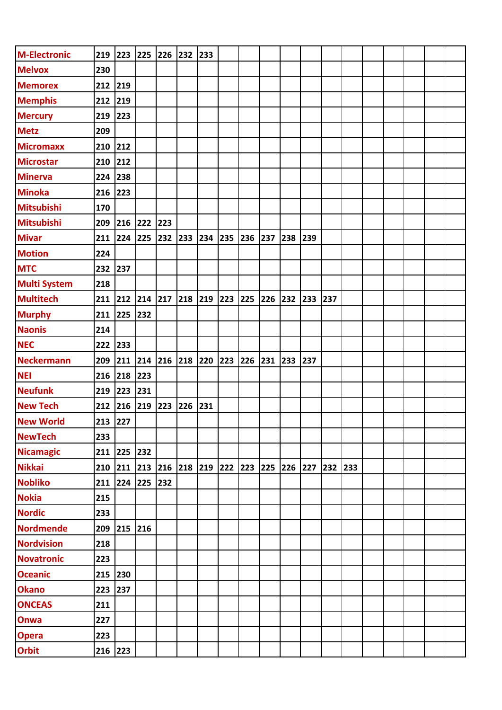| <b>M-Electronic</b> |         | 219 223 225 |        | 226 | 232     | 233 |         |     |     |         |     |     |     |  |  |  |
|---------------------|---------|-------------|--------|-----|---------|-----|---------|-----|-----|---------|-----|-----|-----|--|--|--|
| <b>Melvox</b>       | 230     |             |        |     |         |     |         |     |     |         |     |     |     |  |  |  |
| <b>Memorex</b>      | 212     | 219         |        |     |         |     |         |     |     |         |     |     |     |  |  |  |
| <b>Memphis</b>      | 212     | 219         |        |     |         |     |         |     |     |         |     |     |     |  |  |  |
| <b>Mercury</b>      | 219     | 223         |        |     |         |     |         |     |     |         |     |     |     |  |  |  |
| <b>Metz</b>         | 209     |             |        |     |         |     |         |     |     |         |     |     |     |  |  |  |
| <b>Micromaxx</b>    | 210     | 212         |        |     |         |     |         |     |     |         |     |     |     |  |  |  |
| <b>Microstar</b>    | 210     | 212         |        |     |         |     |         |     |     |         |     |     |     |  |  |  |
| <b>Minerva</b>      | 224 238 |             |        |     |         |     |         |     |     |         |     |     |     |  |  |  |
| <b>Minoka</b>       | 216     | 223         |        |     |         |     |         |     |     |         |     |     |     |  |  |  |
| <b>Mitsubishi</b>   | 170     |             |        |     |         |     |         |     |     |         |     |     |     |  |  |  |
| <b>Mitsubishi</b>   | 209     | 216         | 222    | 223 |         |     |         |     |     |         |     |     |     |  |  |  |
| <b>Mivar</b>        | 211     | 224         | 225    | 232 | 233     | 234 | 235 236 |     | 237 | 238     | 239 |     |     |  |  |  |
| <b>Motion</b>       | 224     |             |        |     |         |     |         |     |     |         |     |     |     |  |  |  |
| <b>MTC</b>          | 232     | 237         |        |     |         |     |         |     |     |         |     |     |     |  |  |  |
| <b>Multi System</b> | 218     |             |        |     |         |     |         |     |     |         |     |     |     |  |  |  |
| <b>Multitech</b>    | 211     | 212 214     |        | 217 | 218 219 |     | 223     | 225 | 226 | 232     | 233 | 237 |     |  |  |  |
| <b>Murphy</b>       | 211     | 225         | 232    |     |         |     |         |     |     |         |     |     |     |  |  |  |
| <b>Naonis</b>       | 214     |             |        |     |         |     |         |     |     |         |     |     |     |  |  |  |
| <b>NEC</b>          | 222     | 233         |        |     |         |     |         |     |     |         |     |     |     |  |  |  |
| <b>Neckermann</b>   | 209     | 211         | 214    | 216 | 218 220 |     | 223     | 226 | 231 | 233     | 237 |     |     |  |  |  |
| <b>NEI</b>          | 216     | 218         | 223    |     |         |     |         |     |     |         |     |     |     |  |  |  |
| <b>Neufunk</b>      | 219     | 223         | $ 231$ |     |         |     |         |     |     |         |     |     |     |  |  |  |
| <b>New Tech</b>     | 212     | 216         | 219    | 223 | 226     | 231 |         |     |     |         |     |     |     |  |  |  |
| <b>New World</b>    | 213 227 |             |        |     |         |     |         |     |     |         |     |     |     |  |  |  |
| <b>NewTech</b>      | 233     |             |        |     |         |     |         |     |     |         |     |     |     |  |  |  |
| <b>Nicamagic</b>    |         | 211 225 232 |        |     |         |     |         |     |     |         |     |     |     |  |  |  |
| <b>Nikkai</b>       | 210 211 |             | 213    | 216 | 218 219 |     | 222 223 |     | 225 | 226 227 |     | 232 | 233 |  |  |  |
| <b>Nobliko</b>      |         | 211 224 225 |        | 232 |         |     |         |     |     |         |     |     |     |  |  |  |
| <b>Nokia</b>        | 215     |             |        |     |         |     |         |     |     |         |     |     |     |  |  |  |
| <b>Nordic</b>       | 233     |             |        |     |         |     |         |     |     |         |     |     |     |  |  |  |
| <b>Nordmende</b>    | 209     | 215 216     |        |     |         |     |         |     |     |         |     |     |     |  |  |  |
| <b>Nordvision</b>   | 218     |             |        |     |         |     |         |     |     |         |     |     |     |  |  |  |
| <b>Novatronic</b>   | 223     |             |        |     |         |     |         |     |     |         |     |     |     |  |  |  |
| <b>Oceanic</b>      | 215 230 |             |        |     |         |     |         |     |     |         |     |     |     |  |  |  |
| <b>Okano</b>        | 223     | 237         |        |     |         |     |         |     |     |         |     |     |     |  |  |  |
| <b>ONCEAS</b>       | 211     |             |        |     |         |     |         |     |     |         |     |     |     |  |  |  |
| Onwa                | 227     |             |        |     |         |     |         |     |     |         |     |     |     |  |  |  |
| <b>Opera</b>        | 223     |             |        |     |         |     |         |     |     |         |     |     |     |  |  |  |
| <b>Orbit</b>        | 216 223 |             |        |     |         |     |         |     |     |         |     |     |     |  |  |  |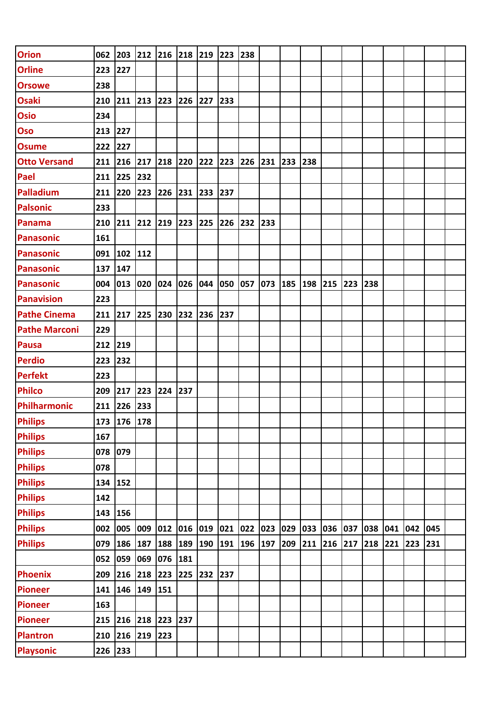| <b>Orion</b>         |           |             |     | 062 203 212 216 218 219 |         |     | 223     | 238 |     |         |     |         |     |         |     |     |     |  |
|----------------------|-----------|-------------|-----|-------------------------|---------|-----|---------|-----|-----|---------|-----|---------|-----|---------|-----|-----|-----|--|
| <b>Orline</b>        | 223 227   |             |     |                         |         |     |         |     |     |         |     |         |     |         |     |     |     |  |
| <b>Orsowe</b>        | 238       |             |     |                         |         |     |         |     |     |         |     |         |     |         |     |     |     |  |
| <b>Osaki</b>         |           | 210 211 213 |     | 223                     | 226     | 227 | 233     |     |     |         |     |         |     |         |     |     |     |  |
| <b>Osio</b>          | 234       |             |     |                         |         |     |         |     |     |         |     |         |     |         |     |     |     |  |
| <b>Oso</b>           | 213 227   |             |     |                         |         |     |         |     |     |         |     |         |     |         |     |     |     |  |
| <b>Osume</b>         | 222       | 227         |     |                         |         |     |         |     |     |         |     |         |     |         |     |     |     |  |
| <b>Otto Versand</b>  |           | 211 216 217 |     | 218 220 222             |         |     | 223 226 |     | 231 | 233     | 238 |         |     |         |     |     |     |  |
| Pael                 | 211       | 225         | 232 |                         |         |     |         |     |     |         |     |         |     |         |     |     |     |  |
| Palladium            | 211 220   |             | 223 | 226                     | 231 233 |     | 237     |     |     |         |     |         |     |         |     |     |     |  |
| <b>Palsonic</b>      | 233       |             |     |                         |         |     |         |     |     |         |     |         |     |         |     |     |     |  |
| Panama               | 210 211   |             | 212 | 219                     | 223 225 |     | 226 232 |     | 233 |         |     |         |     |         |     |     |     |  |
| <b>Panasonic</b>     | 161       |             |     |                         |         |     |         |     |     |         |     |         |     |         |     |     |     |  |
| Panasonic            |           | 091 102 112 |     |                         |         |     |         |     |     |         |     |         |     |         |     |     |     |  |
| <b>Panasonic</b>     | 137 147   |             |     |                         |         |     |         |     |     |         |     |         |     |         |     |     |     |  |
| Panasonic            | 004       | 013         | 020 | 024                     | 026     | 044 | 050 057 |     | 073 | 185 198 |     | 215     | 223 | 238     |     |     |     |  |
| <b>Panavision</b>    | 223       |             |     |                         |         |     |         |     |     |         |     |         |     |         |     |     |     |  |
| <b>Pathe Cinema</b>  | $211$ 217 |             | 225 | 230                     | 232     | 236 | 237     |     |     |         |     |         |     |         |     |     |     |  |
| <b>Pathe Marconi</b> | 229       |             |     |                         |         |     |         |     |     |         |     |         |     |         |     |     |     |  |
| <b>Pausa</b>         | 212 219   |             |     |                         |         |     |         |     |     |         |     |         |     |         |     |     |     |  |
| <b>Perdio</b>        | 223       | 232         |     |                         |         |     |         |     |     |         |     |         |     |         |     |     |     |  |
| <b>Perfekt</b>       | 223       |             |     |                         |         |     |         |     |     |         |     |         |     |         |     |     |     |  |
| <b>Philco</b>        | 209       | 217         | 223 | 224                     | 237     |     |         |     |     |         |     |         |     |         |     |     |     |  |
| Philharmonic         | 211       | 226         | 233 |                         |         |     |         |     |     |         |     |         |     |         |     |     |     |  |
| <b>Philips</b>       |           | 173 176 178 |     |                         |         |     |         |     |     |         |     |         |     |         |     |     |     |  |
| <b>Philips</b>       | 167       |             |     |                         |         |     |         |     |     |         |     |         |     |         |     |     |     |  |
| <b>Philips</b>       | 078       | 079         |     |                         |         |     |         |     |     |         |     |         |     |         |     |     |     |  |
| <b>Philips</b>       | 078       |             |     |                         |         |     |         |     |     |         |     |         |     |         |     |     |     |  |
| <b>Philips</b>       | 134 152   |             |     |                         |         |     |         |     |     |         |     |         |     |         |     |     |     |  |
| <b>Philips</b>       | 142       |             |     |                         |         |     |         |     |     |         |     |         |     |         |     |     |     |  |
| <b>Philips</b>       | 143       | 156         |     |                         |         |     |         |     |     |         |     |         |     |         |     |     |     |  |
| <b>Philips</b>       | 002       | 005         | 009 | 012                     | 016     | 019 | 021 022 |     | 023 | 029     | 033 | 036 037 |     | 038     | 041 | 042 | 045 |  |
| <b>Philips</b>       | 079       | 186         | 187 | 188                     | 189     | 190 | 191 196 |     | 197 | 209     | 211 | 216 217 |     | 218 221 |     | 223 | 231 |  |
|                      | 052       | 059         | 069 | 076                     | 181     |     |         |     |     |         |     |         |     |         |     |     |     |  |
| <b>Phoenix</b>       | 209       | 216 218 223 |     |                         | 225     | 232 | 237     |     |     |         |     |         |     |         |     |     |     |  |
| <b>Pioneer</b>       | 141       | 146 149     |     | 151                     |         |     |         |     |     |         |     |         |     |         |     |     |     |  |
| <b>Pioneer</b>       | 163       |             |     |                         |         |     |         |     |     |         |     |         |     |         |     |     |     |  |
| <b>Pioneer</b>       | 215 216   |             | 218 | 223                     | 237     |     |         |     |     |         |     |         |     |         |     |     |     |  |
| <b>Plantron</b>      | 210 216   |             | 219 | 223                     |         |     |         |     |     |         |     |         |     |         |     |     |     |  |
| <b>Playsonic</b>     | 226 233   |             |     |                         |         |     |         |     |     |         |     |         |     |         |     |     |     |  |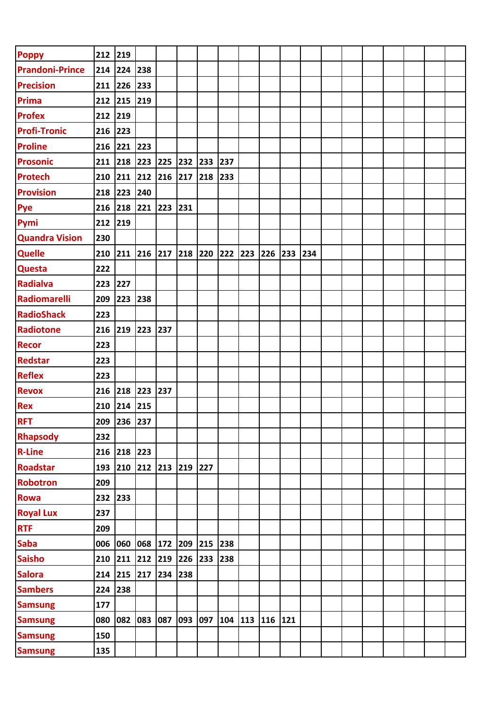| <b>Poppy</b>           | 212 219 |                                                                             |             |     |         |     |         |                 |     |     |  |  |  |  |
|------------------------|---------|-----------------------------------------------------------------------------|-------------|-----|---------|-----|---------|-----------------|-----|-----|--|--|--|--|
| <b>Prandoni-Prince</b> | 214 224 |                                                                             | 238         |     |         |     |         |                 |     |     |  |  |  |  |
| <b>Precision</b>       | 211 226 |                                                                             | 233         |     |         |     |         |                 |     |     |  |  |  |  |
| <b>Prima</b>           | 212 215 |                                                                             | 219         |     |         |     |         |                 |     |     |  |  |  |  |
| <b>Profex</b>          | 212 219 |                                                                             |             |     |         |     |         |                 |     |     |  |  |  |  |
| <b>Profi-Tronic</b>    | 216     | $\begin{array}{c} \n \begin{array}{c} \n 223 \n \end{array} \n \end{array}$ |             |     |         |     |         |                 |     |     |  |  |  |  |
| <b>Proline</b>         | 216 221 |                                                                             | 223         |     |         |     |         |                 |     |     |  |  |  |  |
| <b>Prosonic</b>        | 211 218 |                                                                             | 223         | 225 | 232     | 233 | 237     |                 |     |     |  |  |  |  |
| <b>Protech</b>         |         | 210 211 212                                                                 |             | 216 | 217     | 218 | 233     |                 |     |     |  |  |  |  |
| <b>Provision</b>       | 218     | 223                                                                         | 240         |     |         |     |         |                 |     |     |  |  |  |  |
| Pye                    | 216 218 |                                                                             | 221         | 223 | 231     |     |         |                 |     |     |  |  |  |  |
| Pymi                   | 212     | 219                                                                         |             |     |         |     |         |                 |     |     |  |  |  |  |
| <b>Quandra Vision</b>  | 230     |                                                                             |             |     |         |     |         |                 |     |     |  |  |  |  |
| <b>Quelle</b>          | 210 211 |                                                                             | 216         | 217 | 218     | 220 | 222 223 | 226             | 233 | 234 |  |  |  |  |
| <b>Questa</b>          | 222     |                                                                             |             |     |         |     |         |                 |     |     |  |  |  |  |
| <b>Radialva</b>        | 223     | 227                                                                         |             |     |         |     |         |                 |     |     |  |  |  |  |
| Radiomarelli           | 209     | 223                                                                         | 238         |     |         |     |         |                 |     |     |  |  |  |  |
| <b>RadioShack</b>      | 223     |                                                                             |             |     |         |     |         |                 |     |     |  |  |  |  |
| Radiotone              | 216     | 219                                                                         | 223         | 237 |         |     |         |                 |     |     |  |  |  |  |
| <b>Recor</b>           | 223     |                                                                             |             |     |         |     |         |                 |     |     |  |  |  |  |
| <b>Redstar</b>         | 223     |                                                                             |             |     |         |     |         |                 |     |     |  |  |  |  |
| <b>Reflex</b>          | 223     |                                                                             |             |     |         |     |         |                 |     |     |  |  |  |  |
| <b>Revox</b>           | 216     | 218 223                                                                     |             | 237 |         |     |         |                 |     |     |  |  |  |  |
| <b>Rex</b>             | 210     | 214                                                                         | 215         |     |         |     |         |                 |     |     |  |  |  |  |
| <b>RFT</b>             |         | 209 236 237                                                                 |             |     |         |     |         |                 |     |     |  |  |  |  |
| <b>Rhapsody</b>        | 232     |                                                                             |             |     |         |     |         |                 |     |     |  |  |  |  |
| <b>R-Line</b>          |         | 216 218 223                                                                 |             |     |         |     |         |                 |     |     |  |  |  |  |
| <b>Roadstar</b>        | 193     | 210                                                                         | 212 213     |     | 219 227 |     |         |                 |     |     |  |  |  |  |
| <b>Robotron</b>        | 209     |                                                                             |             |     |         |     |         |                 |     |     |  |  |  |  |
| <b>Rowa</b>            | 232     | 233                                                                         |             |     |         |     |         |                 |     |     |  |  |  |  |
| <b>Royal Lux</b>       | 237     |                                                                             |             |     |         |     |         |                 |     |     |  |  |  |  |
| <b>RTF</b>             | 209     |                                                                             |             |     |         |     |         |                 |     |     |  |  |  |  |
| <b>Saba</b>            | 006     | 060                                                                         | 068 172     |     | 209 215 |     | 238     |                 |     |     |  |  |  |  |
| <b>Saisho</b>          | 210 211 |                                                                             | 212 219     |     | 226 233 |     | 238     |                 |     |     |  |  |  |  |
| <b>Salora</b>          |         | 214 215 217 234                                                             |             |     | 238     |     |         |                 |     |     |  |  |  |  |
| <b>Sambers</b>         | 224     | 238                                                                         |             |     |         |     |         |                 |     |     |  |  |  |  |
| <b>Samsung</b>         | 177     |                                                                             |             |     |         |     |         |                 |     |     |  |  |  |  |
| <b>Samsung</b>         | 080     |                                                                             | 082 083 087 |     | 093 097 |     |         | 104 113 116 121 |     |     |  |  |  |  |
| <b>Samsung</b>         | 150     |                                                                             |             |     |         |     |         |                 |     |     |  |  |  |  |
| <b>Samsung</b>         | 135     |                                                                             |             |     |         |     |         |                 |     |     |  |  |  |  |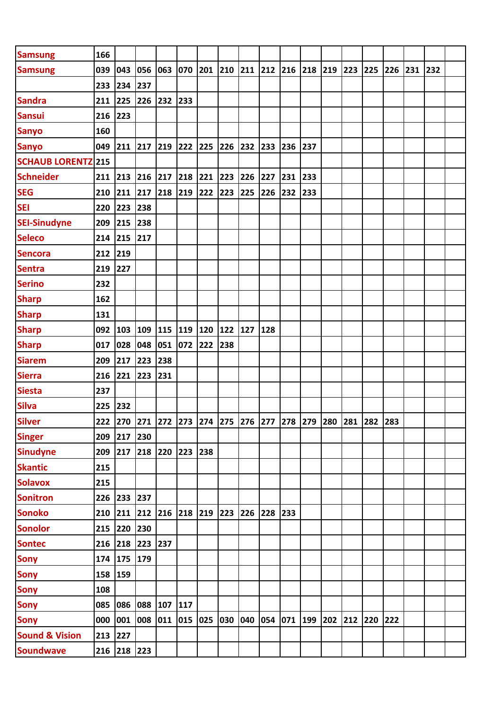| <b>Samsung</b>            | 166     |                                                                           |     |     |         |     |             |     |     |     |                 |     |         |     |     |     |  |
|---------------------------|---------|---------------------------------------------------------------------------|-----|-----|---------|-----|-------------|-----|-----|-----|-----------------|-----|---------|-----|-----|-----|--|
| <b>Samsung</b>            | 039 043 |                                                                           | 056 | 063 | 070 201 |     | 210 211 212 |     |     |     | 216 218 219 223 |     | 225     | 226 | 231 | 232 |  |
|                           | 233     | 234                                                                       | 237 |     |         |     |             |     |     |     |                 |     |         |     |     |     |  |
| <b>Sandra</b>             | 211     | 225                                                                       | 226 | 232 | 233     |     |             |     |     |     |                 |     |         |     |     |     |  |
| <b>Sansui</b>             | 216 223 |                                                                           |     |     |         |     |             |     |     |     |                 |     |         |     |     |     |  |
| <b>Sanyo</b>              | 160     |                                                                           |     |     |         |     |             |     |     |     |                 |     |         |     |     |     |  |
| <b>Sanyo</b>              | 049     | 211 217                                                                   |     | 219 | 222 225 |     | 226 232     |     | 233 | 236 | 237             |     |         |     |     |     |  |
| <b>SCHAUB LORENTZ 215</b> |         |                                                                           |     |     |         |     |             |     |     |     |                 |     |         |     |     |     |  |
| <b>Schneider</b>          |         | 211 213 216                                                               |     | 217 | 218 221 |     | 223 226     |     | 227 | 231 | 233             |     |         |     |     |     |  |
| <b>SEG</b>                | 210     | 211                                                                       | 217 | 218 | 219     | 222 | 223         | 225 | 226 | 232 | 233             |     |         |     |     |     |  |
| <b>SEI</b>                | 220     | 223                                                                       | 238 |     |         |     |             |     |     |     |                 |     |         |     |     |     |  |
| <b>SEI-Sinudyne</b>       | 209     | 215                                                                       | 238 |     |         |     |             |     |     |     |                 |     |         |     |     |     |  |
| <b>Seleco</b>             | 214 215 |                                                                           | 217 |     |         |     |             |     |     |     |                 |     |         |     |     |     |  |
| <b>Sencora</b>            | 212     | 219                                                                       |     |     |         |     |             |     |     |     |                 |     |         |     |     |     |  |
| <b>Sentra</b>             | 219     | 227                                                                       |     |     |         |     |             |     |     |     |                 |     |         |     |     |     |  |
| <b>Serino</b>             | 232     |                                                                           |     |     |         |     |             |     |     |     |                 |     |         |     |     |     |  |
| <b>Sharp</b>              | 162     |                                                                           |     |     |         |     |             |     |     |     |                 |     |         |     |     |     |  |
| <b>Sharp</b>              | 131     |                                                                           |     |     |         |     |             |     |     |     |                 |     |         |     |     |     |  |
| <b>Sharp</b>              | 092     | 103                                                                       | 109 | 115 | 119 120 |     | 122 127     |     | 128 |     |                 |     |         |     |     |     |  |
| <b>Sharp</b>              | 017     | 028                                                                       | 048 | 051 | 072     | 222 | 238         |     |     |     |                 |     |         |     |     |     |  |
| <b>Siarem</b>             | 209     | 217                                                                       | 223 | 238 |         |     |             |     |     |     |                 |     |         |     |     |     |  |
| <b>Sierra</b>             | 216 221 |                                                                           | 223 | 231 |         |     |             |     |     |     |                 |     |         |     |     |     |  |
| <b>Siesta</b>             | 237     |                                                                           |     |     |         |     |             |     |     |     |                 |     |         |     |     |     |  |
| <b>Silva</b>              | 225     | 232                                                                       |     |     |         |     |             |     |     |     |                 |     |         |     |     |     |  |
| <b>Silver</b>             |         | 222  270  271  272  273  274  275  276  277  278  279  280  281  282  283 |     |     |         |     |             |     |     |     |                 |     |         |     |     |     |  |
| <b>Singer</b>             |         | 209 217 230                                                               |     |     |         |     |             |     |     |     |                 |     |         |     |     |     |  |
| <b>Sinudyne</b>           | 209     | 217 218 220                                                               |     |     | 223     | 238 |             |     |     |     |                 |     |         |     |     |     |  |
| <b>Skantic</b>            | 215     |                                                                           |     |     |         |     |             |     |     |     |                 |     |         |     |     |     |  |
| <b>Solavox</b>            | 215     |                                                                           |     |     |         |     |             |     |     |     |                 |     |         |     |     |     |  |
| <b>Sonitron</b>           |         | 226 233 237                                                               |     |     |         |     |             |     |     |     |                 |     |         |     |     |     |  |
| <b>Sonoko</b>             |         | 210 211 212 216 218 219                                                   |     |     |         |     | 223 226     |     | 228 | 233 |                 |     |         |     |     |     |  |
| <b>Sonolor</b>            |         | 215 220 230                                                               |     |     |         |     |             |     |     |     |                 |     |         |     |     |     |  |
| <b>Sontec</b>             |         | 216 218 223 237                                                           |     |     |         |     |             |     |     |     |                 |     |         |     |     |     |  |
| <b>Sony</b>               | 174     | 175                                                                       | 179 |     |         |     |             |     |     |     |                 |     |         |     |     |     |  |
| <b>Sony</b>               | 158     | 159                                                                       |     |     |         |     |             |     |     |     |                 |     |         |     |     |     |  |
| <b>Sony</b>               | 108     |                                                                           |     |     |         |     |             |     |     |     |                 |     |         |     |     |     |  |
| <b>Sony</b>               | 085     | 086                                                                       | 088 | 107 | 117     |     |             |     |     |     |                 |     |         |     |     |     |  |
| <b>Sony</b>               | 000     | 001                                                                       | 008 | 011 | 015 025 |     | 030 040     |     | 054 |     | 071 199 202     | 212 | 220 222 |     |     |     |  |
| <b>Sound &amp; Vision</b> | 213 227 |                                                                           |     |     |         |     |             |     |     |     |                 |     |         |     |     |     |  |
| <b>Soundwave</b>          |         | 216 218 223                                                               |     |     |         |     |             |     |     |     |                 |     |         |     |     |     |  |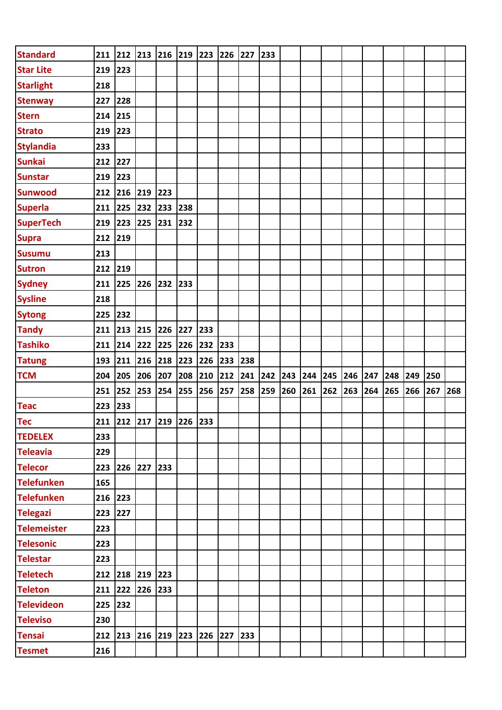| <b>Standard</b>    |           |             |     | 211 212 213 216 219 223 |         |     | 226 227 |         | $\begin{array}{c} \n \boxed{233} \n \end{array}$ |     |     |             |     |     |     |     |     |     |
|--------------------|-----------|-------------|-----|-------------------------|---------|-----|---------|---------|--------------------------------------------------|-----|-----|-------------|-----|-----|-----|-----|-----|-----|
| <b>Star Lite</b>   | 219 223   |             |     |                         |         |     |         |         |                                                  |     |     |             |     |     |     |     |     |     |
| <b>Starlight</b>   | 218       |             |     |                         |         |     |         |         |                                                  |     |     |             |     |     |     |     |     |     |
| <b>Stenway</b>     | 227 228   |             |     |                         |         |     |         |         |                                                  |     |     |             |     |     |     |     |     |     |
| <b>Stern</b>       | 214 215   |             |     |                         |         |     |         |         |                                                  |     |     |             |     |     |     |     |     |     |
| <b>Strato</b>      | 219 223   |             |     |                         |         |     |         |         |                                                  |     |     |             |     |     |     |     |     |     |
| <b>Stylandia</b>   | 233       |             |     |                         |         |     |         |         |                                                  |     |     |             |     |     |     |     |     |     |
| <b>Sunkai</b>      | 212 227   |             |     |                         |         |     |         |         |                                                  |     |     |             |     |     |     |     |     |     |
| <b>Sunstar</b>     | 219 223   |             |     |                         |         |     |         |         |                                                  |     |     |             |     |     |     |     |     |     |
| <b>Sunwood</b>     | 212 216   |             | 219 | 223                     |         |     |         |         |                                                  |     |     |             |     |     |     |     |     |     |
| <b>Superla</b>     | $211$ 225 |             | 232 | 233 238                 |         |     |         |         |                                                  |     |     |             |     |     |     |     |     |     |
| <b>SuperTech</b>   | $219$ 223 |             | 225 | 231                     | 232     |     |         |         |                                                  |     |     |             |     |     |     |     |     |     |
| <b>Supra</b>       | 212 219   |             |     |                         |         |     |         |         |                                                  |     |     |             |     |     |     |     |     |     |
| <b>Susumu</b>      | 213       |             |     |                         |         |     |         |         |                                                  |     |     |             |     |     |     |     |     |     |
| <b>Sutron</b>      | 212 219   |             |     |                         |         |     |         |         |                                                  |     |     |             |     |     |     |     |     |     |
| <b>Sydney</b>      | 211 225   |             | 226 | 232                     | 233     |     |         |         |                                                  |     |     |             |     |     |     |     |     |     |
| <b>Sysline</b>     | 218       |             |     |                         |         |     |         |         |                                                  |     |     |             |     |     |     |     |     |     |
| <b>Sytong</b>      | 225 232   |             |     |                         |         |     |         |         |                                                  |     |     |             |     |     |     |     |     |     |
| <b>Tandy</b>       |           | 211 213 215 |     | 226                     | 227     | 233 |         |         |                                                  |     |     |             |     |     |     |     |     |     |
| <b>Tashiko</b>     |           | 211 214 222 |     | 225                     | 226     | 232 | 233     |         |                                                  |     |     |             |     |     |     |     |     |     |
|                    |           |             |     |                         |         |     |         |         |                                                  |     |     |             |     |     |     |     |     |     |
| <b>Tatung</b>      | 193 211   |             | 216 | 218                     | 223     | 226 | 233     | 238     |                                                  |     |     |             |     |     |     |     |     |     |
| <b>TCM</b>         | 204 205   |             | 206 | 207                     | 208 210 |     | 212     | 241 242 |                                                  | 243 |     | 244 245 246 |     | 247 | 248 | 249 | 250 |     |
|                    | 251 252   |             | 253 |                         | 254 255 | 256 | 257     | 258     | 259                                              | 260 | 261 | 262         | 263 | 264 | 265 | 266 | 267 | 268 |
| <b>Teac</b>        | 223 233   |             |     |                         |         |     |         |         |                                                  |     |     |             |     |     |     |     |     |     |
| <b>Tec</b>         |           |             |     | 211 212 217 219 226 233 |         |     |         |         |                                                  |     |     |             |     |     |     |     |     |     |
| <b>TEDELEX</b>     | 233       |             |     |                         |         |     |         |         |                                                  |     |     |             |     |     |     |     |     |     |
| <b>Teleavia</b>    | 229       |             |     |                         |         |     |         |         |                                                  |     |     |             |     |     |     |     |     |     |
| <b>Telecor</b>     | 223       | 226 227     |     | 233                     |         |     |         |         |                                                  |     |     |             |     |     |     |     |     |     |
| <b>Telefunken</b>  | 165       |             |     |                         |         |     |         |         |                                                  |     |     |             |     |     |     |     |     |     |
| <b>Telefunken</b>  | 216 223   |             |     |                         |         |     |         |         |                                                  |     |     |             |     |     |     |     |     |     |
| <b>Telegazi</b>    | 223       | 227         |     |                         |         |     |         |         |                                                  |     |     |             |     |     |     |     |     |     |
| <b>Telemeister</b> | 223       |             |     |                         |         |     |         |         |                                                  |     |     |             |     |     |     |     |     |     |
| <b>Telesonic</b>   | 223       |             |     |                         |         |     |         |         |                                                  |     |     |             |     |     |     |     |     |     |
| <b>Telestar</b>    | 223       |             |     |                         |         |     |         |         |                                                  |     |     |             |     |     |     |     |     |     |
| <b>Teletech</b>    |           | 212 218 219 |     | 223                     |         |     |         |         |                                                  |     |     |             |     |     |     |     |     |     |
| <b>Teleton</b>     |           | 211 222 226 |     | 233                     |         |     |         |         |                                                  |     |     |             |     |     |     |     |     |     |
| <b>Televideon</b>  | 225       | 232         |     |                         |         |     |         |         |                                                  |     |     |             |     |     |     |     |     |     |
| <b>Televiso</b>    | 230       |             |     |                         |         |     |         |         |                                                  |     |     |             |     |     |     |     |     |     |
| <b>Tensai</b>      |           |             |     | 212 213 216 219 223     |         | 226 | 227 233 |         |                                                  |     |     |             |     |     |     |     |     |     |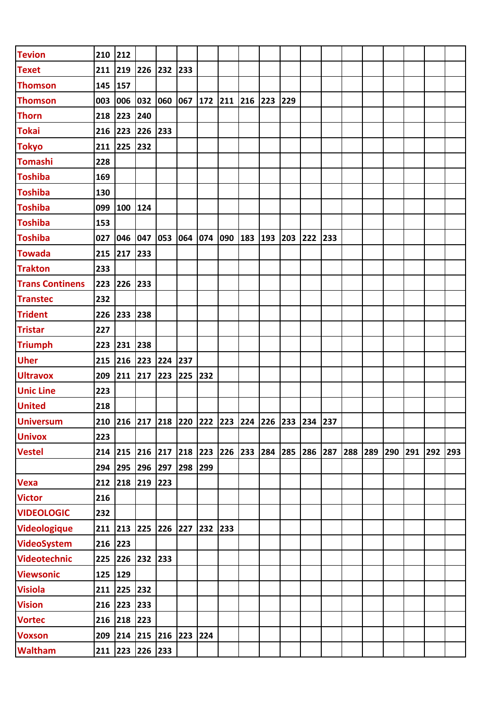| <b>Tevion</b>          | 210       | 212     |                 |                                                 |         |     |     |             |     |     |         |     |     |     |     |     |     |     |
|------------------------|-----------|---------|-----------------|-------------------------------------------------|---------|-----|-----|-------------|-----|-----|---------|-----|-----|-----|-----|-----|-----|-----|
| <b>Texet</b>           | 211       | 219     | 226             | 232                                             | 233     |     |     |             |     |     |         |     |     |     |     |     |     |     |
| <b>Thomson</b>         | 145       | 157     |                 |                                                 |         |     |     |             |     |     |         |     |     |     |     |     |     |     |
| <b>Thomson</b>         | 003       | 006     | 032             | 060                                             | 067     | 172 | 211 | 216         | 223 | 229 |         |     |     |     |     |     |     |     |
| <b>Thorn</b>           | 218       | 223     | 240             |                                                 |         |     |     |             |     |     |         |     |     |     |     |     |     |     |
| <b>Tokai</b>           | 216       | 223     | 226             | 233                                             |         |     |     |             |     |     |         |     |     |     |     |     |     |     |
| <b>Tokyo</b>           | 211       | 225     | 232             |                                                 |         |     |     |             |     |     |         |     |     |     |     |     |     |     |
| <b>Tomashi</b>         | 228       |         |                 |                                                 |         |     |     |             |     |     |         |     |     |     |     |     |     |     |
| <b>Toshiba</b>         | 169       |         |                 |                                                 |         |     |     |             |     |     |         |     |     |     |     |     |     |     |
| <b>Toshiba</b>         | 130       |         |                 |                                                 |         |     |     |             |     |     |         |     |     |     |     |     |     |     |
| <b>Toshiba</b>         | 099       | 100 124 |                 |                                                 |         |     |     |             |     |     |         |     |     |     |     |     |     |     |
| <b>Toshiba</b>         | 153       |         |                 |                                                 |         |     |     |             |     |     |         |     |     |     |     |     |     |     |
| <b>Toshiba</b>         | 027       | 046     | 047             | 053                                             | 064     | 074 | 090 | 183         | 193 | 203 | 222     | 233 |     |     |     |     |     |     |
| <b>Towada</b>          | 215       | 217     | 233             |                                                 |         |     |     |             |     |     |         |     |     |     |     |     |     |     |
| <b>Trakton</b>         | 233       |         |                 |                                                 |         |     |     |             |     |     |         |     |     |     |     |     |     |     |
| <b>Trans Continens</b> | 223       | 226     | 233             |                                                 |         |     |     |             |     |     |         |     |     |     |     |     |     |     |
| <b>Transtec</b>        | 232       |         |                 |                                                 |         |     |     |             |     |     |         |     |     |     |     |     |     |     |
| <b>Trident</b>         | 226       | 233     | 238             |                                                 |         |     |     |             |     |     |         |     |     |     |     |     |     |     |
| <b>Tristar</b>         | 227       |         |                 |                                                 |         |     |     |             |     |     |         |     |     |     |     |     |     |     |
| <b>Triumph</b>         | 223       | 231     | 238             |                                                 |         |     |     |             |     |     |         |     |     |     |     |     |     |     |
| <b>Uher</b>            | 215       | 216     | 223             | 224                                             | 237     |     |     |             |     |     |         |     |     |     |     |     |     |     |
| <b>Ultravox</b>        | 209       | 211 217 |                 | 223                                             | 225     | 232 |     |             |     |     |         |     |     |     |     |     |     |     |
| <b>Unic Line</b>       | 223       |         |                 |                                                 |         |     |     |             |     |     |         |     |     |     |     |     |     |     |
| <b>United</b>          | 218       |         |                 |                                                 |         |     |     |             |     |     |         |     |     |     |     |     |     |     |
| <b>Universum</b>       |           |         |                 | 210 216 217 218 220 222 223 224 226 233 234 237 |         |     |     |             |     |     |         |     |     |     |     |     |     |     |
| <b>Univox</b>          | 223       |         |                 |                                                 |         |     |     |             |     |     |         |     |     |     |     |     |     |     |
| <b>Vestel</b>          | $214$ 215 |         | 216 217         |                                                 | 218 223 |     |     | 226 233 284 |     | 285 | 286 287 |     | 288 | 289 | 290 | 291 | 292 | 293 |
|                        | 294       | 295     | 296             | 297                                             | 298     | 299 |     |             |     |     |         |     |     |     |     |     |     |     |
| <b>Vexa</b>            | 212       |         | 218 219 223     |                                                 |         |     |     |             |     |     |         |     |     |     |     |     |     |     |
| <b>Victor</b>          | 216       |         |                 |                                                 |         |     |     |             |     |     |         |     |     |     |     |     |     |     |
| <b>VIDEOLOGIC</b>      | 232       |         |                 |                                                 |         |     |     |             |     |     |         |     |     |     |     |     |     |     |
| <b>Videologique</b>    |           |         |                 | 211 213 225 226 227                             |         | 232 | 233 |             |     |     |         |     |     |     |     |     |     |     |
| <b>VideoSystem</b>     | 216 223   |         |                 |                                                 |         |     |     |             |     |     |         |     |     |     |     |     |     |     |
| <b>Videotechnic</b>    |           |         | 225 226 232 233 |                                                 |         |     |     |             |     |     |         |     |     |     |     |     |     |     |
| <b>Viewsonic</b>       | 125 129   |         |                 |                                                 |         |     |     |             |     |     |         |     |     |     |     |     |     |     |
| <b>Visiola</b>         | 211       | 225     | 232             |                                                 |         |     |     |             |     |     |         |     |     |     |     |     |     |     |
| <b>Vision</b>          | 216 223   |         | 233             |                                                 |         |     |     |             |     |     |         |     |     |     |     |     |     |     |
| <b>Vortec</b>          | 216       | 218     | 223             |                                                 |         |     |     |             |     |     |         |     |     |     |     |     |     |     |
| <b>Voxson</b>          | 209       | 214     | 215 216         |                                                 | 223     | 224 |     |             |     |     |         |     |     |     |     |     |     |     |
| Waltham                | 211       |         | 223 226 233     |                                                 |         |     |     |             |     |     |         |     |     |     |     |     |     |     |